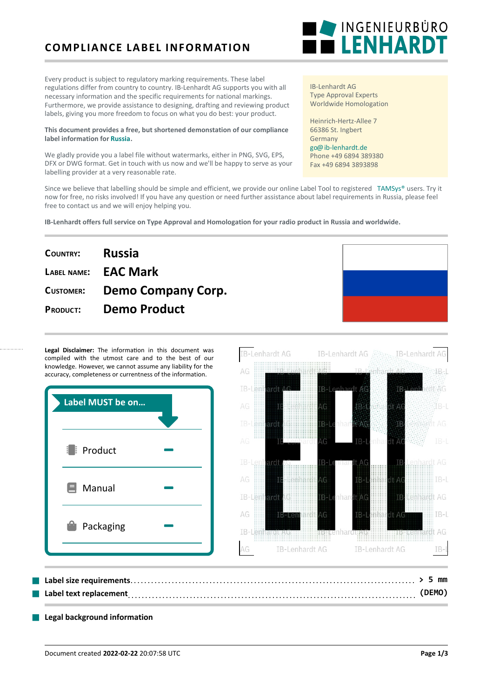## **COMPLIANCE LABEL INFORMATION**

Every product is subject to regulatory marking requirements. These label regulations differ from country to country. IB-Lenhardt AG supports you with all necessary information and the specific requirements for national markings. Furthermore, we provide assistance to designing, drafting and reviewing product labels, giving you more freedom to focus on what you do best: your product.

#### **This document provides a free, but shortened demonstation of our compliance label information for [Russia.](https://ib-lenhardt.de/en/type-approval/country/Russia/)**

We gladly provide you a label file without watermarks, either in PNG, SVG, EPS, DFX or DWG format. Get in touch with us now and we'll be happy to serve as your labelling provider at a very reasonable rate.

Since we believe that labelling should be simple and efficient, we provide our online Label Tool to registered [TAMSys®](https://tamsys.org/) users. Try it now for free, no risks involved! If you have any question or need further assistance about label requirements in Russia, please feel free to contact us and we will enjoy helping you.

**B-Lenhardt AG** 

**IB-Lenhardt offers full service on Type Approval and Homologation for your radio product in Russia and worldwide.**

# **COUNTRY: Russia LABEL NAME: EAC Mark CUSTOMER: Demo Company Corp. PRODUCT: Demo Product**

Legal Disclaimer: The information in this document was compiled with the utmost care and to the best of our knowledge. However, we cannot assume any liability for the accuracy, completeness or currentness of the information.

| Label MUST be on      | [B-Lenhard<br>IB-<br>H 1                                        |
|-----------------------|-----------------------------------------------------------------|
|                       | AG<br><br>1.1.1<br>1.1.1.1<br>$-7.77$<br>IB-<br><b>COD</b><br>m |
| $\frac{1}{2}$ Product | ::::<br><br>11111<br>AG.<br>IB-<br>١G                           |
|                       | TB-<br>en<br><br>1.1.1<br>1111                                  |
| E<br>Manual           | .<br>AG<br>1.1.1<br>1.1.1<br>.                                  |
|                       | IB-Lei<br><b>iB÷l e</b> nhar                                    |
| A                     | AG<br><b>IB-Len</b><br>VЫ<br>1111<br>.<br>1.1.1                 |
| Packaging             | ::::::::::::::::::::::::::                                      |
|                       | <b>IB-Lenhardt AG</b><br><b>IB-Lenhardt AG</b><br>AG            |
|                       |                                                                 |

## . . . . . . . . . . . . . . . . . . . . . . . . . . . . . . . . . . . . . . . . . . . . . . . . . . . . . . . . . . . . . . . . . . . . . . . . . . . . . . . . . . . . . . . . . . . . . . . . . . . . . . . . . . . . . . . . . . . . . . . . . . . . . . . . . . . . . . . . . . . . . . . . . . . . . . . . . . . . . . . . ■ **Label size requirements > 5 mm Label text replacement** electron and the set of the set of the set of the set of the set of the set of the set of  $(DEMO)$

#### **Legal background information**



IB-Lenhardt AG Type Approval Experts Worldwide Homologation

Heinrich-Hertz-Allee 7 66386 St. Ingbert Germany [go@ib-lenhardt.de](mailto:go@ib-lenhardt.de) Phone +49 6894 389380 Fax +49 6894 3893898

**IB-Lenhardt AG** 

**IB-Lenhardt AO** 

Æ-

 $AC$ 

 $AG$ 

 $IB-I$ 

AG

**IB**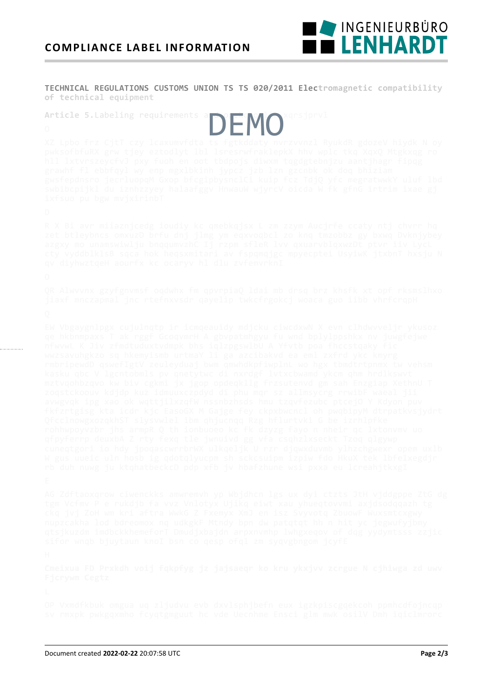

TECHNICAL REGULATIONS CUSTOMS UNION TS TS 020/2011 Electromagnetic compatibility of technical equipment

**DEMO** 

Article 5. Labeling requirements a